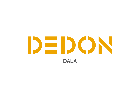# DEDON **DALA**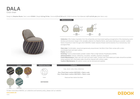

Design by Stephen Burks | Item code: 073003 | Weight 6,6 kg/15 lbs | Volume 0,72 m<sup>3</sup>/25 cu ft | COM (Customer Own Material): 4,57 m/5.00 yds (plain fabric only)



#### **Measurements** cm inch 70,5  $273/$ 72,5  $281/$ 41 16¼ <u>1</u>  $\stackrel{\textstyle\alpha}{\scriptstyle\alpha}$ ፡ 4¼ ဖ 2¼

Collection: DALA takes inspiration from the artisanship and improvised seating arrangements of the developing world. Surface and structure merge in this versatile collection by Stephen Burks, each piece starting as a powder-coated frame of aluminum mesh through which DEDON´s master weavers thread colorful strands of our revolutionary new ecological fiber.

Club chair: Comfortable, casual and generously proportioned, the DALA Club Chair comes with a colorcoordinated back and seat cushion.

Frame: Aluminum

Finishing: Frame is electrostatic powder-coated. Fiber is High-Density Polyethylene (HDPE).

Characteristics: Colorful, distinctive, innovative, versatile, practical, ecological

Frame Maintenance: Clean with soft cloth and warm water. Contact with chlorinated pool water should be avoided. Areas splashed with chlorinated water should be cleaned with ordinary water.

DEDON

Cushion Maintenance: All cushion covers can be removed and washed.



*To learn more about DEDON, our collections and warranty policy, please visit our website –*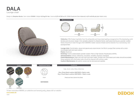**DALA** Lounge chair

Design by Stephen Burks | Item code: 073005 | Weight 9,3 kg/21 lbs | Volume 0,72 m<sup>3</sup>/25 cu ft | COM (Customer Own Material): 4,57 m/5.00 yd (plain fabric only)





Collection: DALA takes inspiration from the artisanship and improvised seating arrangements of the developing world. Surface and structure merge in this versatile collection by Stephen Burks, each piece starting as a powder-coated frame of aluminum mesh through which DEDON´s master weavers thread colorful strands of our revolutionary new ecological fiber.

Lounge chair: Comfortable, casual and generously proportioned, the DALA Lounge Chair comes with a colorcoordinated back and seat cushion.

Frame: Aluminum

Finishing: Frame is electrostatic powder-coated. Fiber is High-Density Polyethylene (HDPE).

Characteristics: Colorful, distinctive, innovative, versatile, practical, ecological

Frame Maintenance: Clean with soft cloth and warm water. Contact with chlorinated pool water should be avoided. Areas splashed with chlorinated water should be cleaned with ordinary water.

DEDON

Cushion Maintenance: All cushion covers can be removed and washed.



*To learn more about DEDON, our collections and warranty policy, please visit our website –*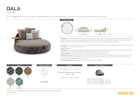## **DALA** Loveseat

Design by Stephen Burks | Item code: 073004 | Weight 30 kg/66 lbs | Volume 2,51 m<sup>3</sup>/35 cu ft | COM (Customer Own Material): 7,32 m/8.00 yd (plain fabric only)



#### Measurements



Collection: DALA takes inspiration from the artisanship and improvised seating arrangements of the developing world. Surface and structure merge in this versatile collection by Stephen Burks, each piece starting as a powder-coated frame of aluminum mesh through which DEDON's master weavers thread colorful strands of our revolutionary new ecological fiber.

Loveseat: This spacious daybed has wheels underneath for smooth rotation, pull-out casters for easy mobility and a swiveling table featuring a premium teak tabletop.

Frame: Aluminum

Finishing: Frame is electrostatic powder-coated. Fiber is High-Density Polyethylene (HDPE). The swiveling table of the DALA loveseat consists of a powder-coated aluminum post and a tabletop of premium teak.

Characteristics: Colorful, distinctive, innovative, versatile, practical, ecological

Frame Maintenance: Clean with soft cloth and warm water. Avoid contact with chlorinated pool water. Areas splashed with chlorinated water should be cleaned with ordinary water. Wash tabletop with warm water in which natural soap flakes have been dissolved or with DEDON´s teak cleaner.

DEDON

Cushion Maintenance: All cushion covers can be removed and washed.



*To learn more about DEDON, our collections and warranty policy, please visit our website –*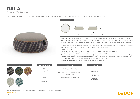## **DALA** Footstool / Coffee table

Design by Stephen Burks | Item code: 073037 | Weight 6,7 kg/15 lbs | Volume 0,29 m<sup>3</sup>/10 cu ft | COM (Customer Own Material): 2,75 m/3.00 yd (plain fabric only)



### **Measurements** 31 10 4ø 96 ø 96 cm inch a 373/4 ø 37%

Collection: DALA takes inspiration from the artisanship and improvised seating arrangements of the developing world. Surface and structure merge in this versatile collection by Stephen Burks, each piece starting as a powder-coated frame of aluminum mesh through which DEDON's master weavers thread colorful strands of our revolutionary new ecological fiber.

Footstool/Coffee table: The same diameter as the lounge chair, this comfortable footstool doubles as casual seating. And with its color-coordinated glass top, it can also be used as a coffee table.

Frame: Aluminum

Finishing: Frame is electrostatic powder-coated. Fiber is High-Density Polyethylene (HDPE).

Characteristics: Colorful, distinctive, innovative, versatile, practical, ecological

Options: This item may be either used as coffee table (when glass top is applied) or footstool (when cushion is applied). Frame Maintenance: Clean with soft cloth and warm water. Contact with chlorinated pool water should be avoided. Areas splashed with chlorinated water should be cleaned with ordinary water.

DEDON

Cushion Maintenance: All cushion covers can be removed and washed.

|       | Colors  |      | <b>Additional Items</b> | <b>Cushions</b>                                                                         | Tabletop                                      |
|-------|---------|------|-------------------------|-----------------------------------------------------------------------------------------|-----------------------------------------------|
|       |         |      |                         | rioja, ubud, cuba, ibiza, bahamas:<br>Dry+ Plush Seat cushion 95073237<br>+ Fabric code | Glass nori<br>22273039133<br>Glass terracotta |
| 164   | 165     | 166  |                         |                                                                                         | 22273039084                                   |
| rioja | ubud    | cuba | Cover                   | Please see Fabric Options Fact Sheet                                                    | Glass stone<br>22273039314                    |
|       |         |      | 56073038000             |                                                                                         |                                               |
| 167   | 168     |      |                         |                                                                                         |                                               |
| ibiza | hahamas |      |                         |                                                                                         |                                               |

*To learn more about DEDON, our collections and warranty policy, please visit our website –*